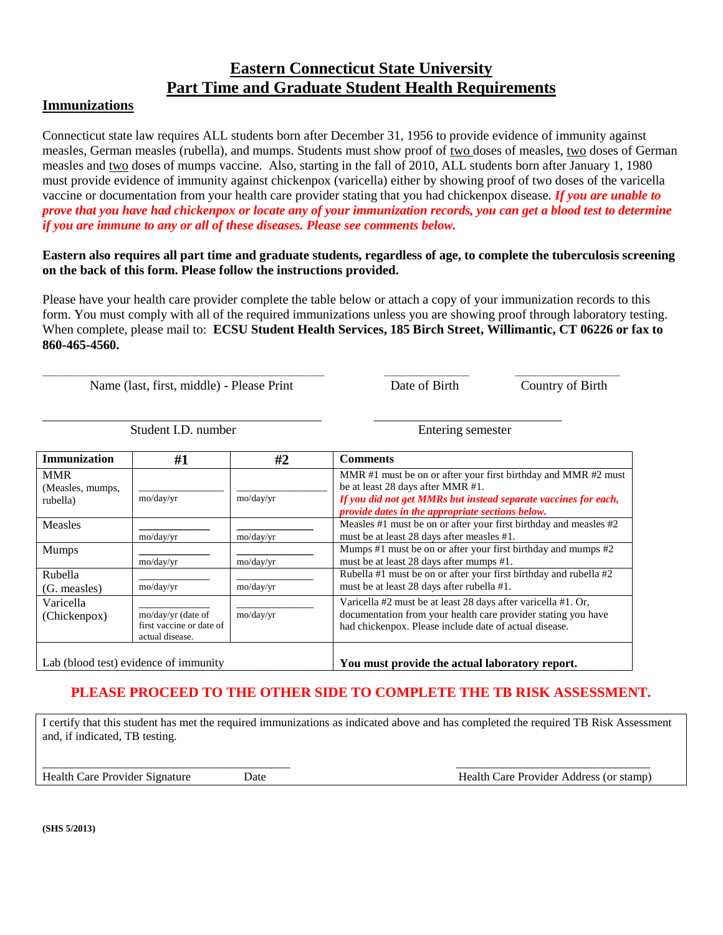# **Eastern Connecticut State University Part Time and Graduate Student Health Requirements**

### **Immunizations**

Connecticut state law requires ALL students born after December 31, 1956 to provide evidence of immunity against measles, German measles (rubella), and mumps. Students must show proof of two doses of measles, two doses of German measles and two doses of mumps vaccine. Also, starting in the fall of 2010, ALL students born after January 1, 1980 must provide evidence of immunity against chickenpox (varicella) either by showing proof of two doses of the varicella vaccine or documentation from your health care provider stating that you had chickenpox disease. *If you are unable to prove that you have had chickenpox or locate any of your immunization records, you can get a blood test to determine if you are immune to any or all of these diseases. Please see comments below.*

#### **Eastern also requires all part time and graduate students, regardless of age, to complete the tuberculosis screening on the back of this form. Please follow the instructions provided.**

Please have your health care provider complete the table below or attach a copy of your immunization records to this form. You must comply with all of the required immunizations unless you are showing proof through laboratory testing. When complete, please mail to: **ECSU Student Health Services, 185 Birch Street, Willimantic, CT 06226 or fax to 860-465-4560.** 

**\_\_\_\_\_\_\_\_\_\_\_\_\_\_\_\_\_\_\_\_\_\_\_\_\_\_\_\_\_\_\_\_\_\_\_\_\_\_\_\_\_\_\_ \_\_\_\_\_\_\_\_\_\_\_\_\_ \_\_\_\_\_\_\_\_\_\_\_\_\_\_\_\_**

\_\_\_\_\_\_\_\_\_\_\_\_\_\_\_\_\_\_\_\_\_\_\_\_\_\_\_\_\_\_\_\_\_\_\_\_\_\_\_\_\_\_\_ \_\_\_\_\_\_\_\_\_\_\_\_\_\_\_\_\_\_\_\_\_\_\_\_\_\_\_\_\_

Name (last, first, middle) - Please Print Date of Birth Country of Birth

Student I.D. number Entering semester

| Immunization                          | #1                       | #2        | <b>Comments</b>                                                       |  |
|---------------------------------------|--------------------------|-----------|-----------------------------------------------------------------------|--|
| <b>MMR</b>                            |                          |           | MMR #1 must be on or after your first birthday and MMR #2 must        |  |
| (Measles, mumps,                      |                          |           | be at least 28 days after MMR #1.                                     |  |
| rubella)                              | mo/day/yr                | mo/day/yr | If you did not get MMRs but instead separate vaccines for each,       |  |
|                                       |                          |           | provide dates in the appropriate sections below.                      |  |
| <b>Measles</b>                        |                          |           | Measles $#1$ must be on or after your first birthday and measles $#2$ |  |
|                                       | mo/day/yr                | mo/day/yr | must be at least 28 days after measles #1.                            |  |
| <b>Mumps</b>                          |                          |           | Mumps #1 must be on or after your first birthday and mumps #2         |  |
|                                       | mo/day/yr                | mo/day/yr | must be at least 28 days after mumps #1.                              |  |
| Rubella                               |                          |           | Rubella #1 must be on or after your first birthday and rubella #2     |  |
| (G. measles)                          | mo/day/yr                | mo/day/yr | must be at least 28 days after rubella #1.                            |  |
| Varicella                             |                          |           | Varicella #2 must be at least 28 days after varicella #1. Or,         |  |
| (Chickenpox)                          | mo/day/yr (date of       | mo/day/yr | documentation from your health care provider stating you have         |  |
|                                       | first vaccine or date of |           | had chickenpox. Please include date of actual disease.                |  |
|                                       | actual disease.          |           |                                                                       |  |
|                                       |                          |           |                                                                       |  |
| Lab (blood test) evidence of immunity |                          |           | You must provide the actual laboratory report.                        |  |

### **PLEASE PROCEED TO THE OTHER SIDE TO COMPLETE THE TB RISK ASSESSMENT.**

I certify that this student has met the required immunizations as indicated above and has completed the required TB Risk Assessment and, if indicated, TB testing.

\_\_\_\_\_\_\_\_\_\_\_\_\_\_\_\_\_\_\_\_\_\_\_\_\_\_\_\_\_\_\_\_\_\_\_\_\_\_\_\_\_\_ \_\_\_\_\_\_\_\_\_\_\_\_\_\_\_\_\_\_\_\_\_\_\_\_\_\_\_\_\_\_\_\_\_

Health Care Provider Signature Date Date Date Health Care Provider Address (or stamp)

**(SHS 5/2013)**